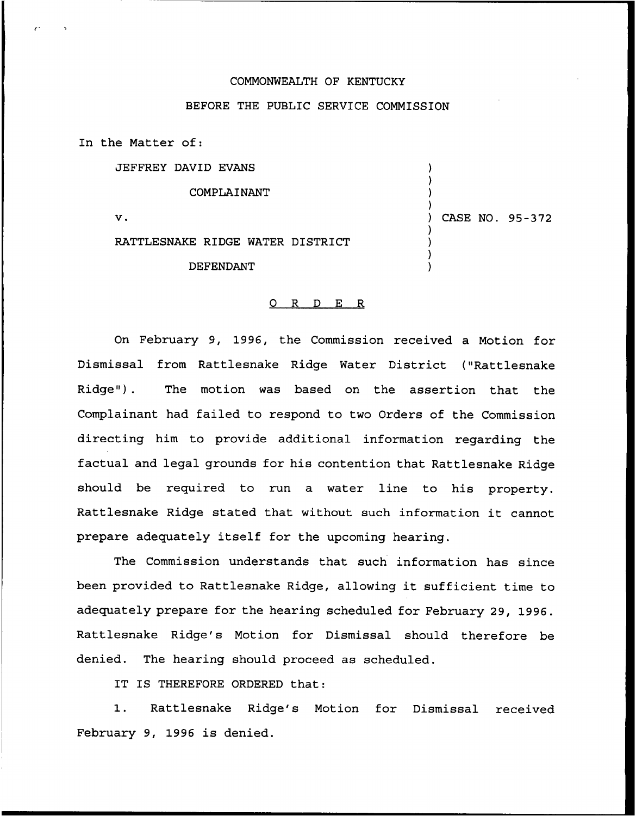## COMMONWEALTH OF KENTUCKY

## BEFORE THE PUBLIC SERVICE COMMISSION

In the Matter of:

JEFFREY DAVID EVANS

COMPLAINANT

 $\mathbf{v}$ .

RATTLESNAKE RIDGE WATER DISTRICT

DEFENDANT

) ) ) )

) ) ) ) ) CASE NO. 95-372

## 0 R <sup>D</sup> E R

On February 9, 1996, the Commission received a Motion for Dismissal from Rattlesnake Ridge Water District ("Rattlesnake Ridge"). The motion was based on the assertion that the Complainant had failed to respond to two Orders of the Commission directing him to provide additional information regarding the factual and legal grounds for his contention that Rattlesnake Ridge should be required to run a water line to his property. Rattlesnake Ridge stated that without such information it cannot prepare adequately itself for the upcoming hearing.

The Commission understands that such information has since been provided to Rattlesnake Ridge, allowing it sufficient time to adequately prepare for the hearing scheduled for February 29, 1996. Rattlesnake Ridge's Motion for Dismissal should therefore be denied. The hearing should proceed as scheduled.

IT IS THEREFORE ORDERED that:

1. Rattlesnake Ridge's Motion for Dismissal received February 9, 1996 is denied.